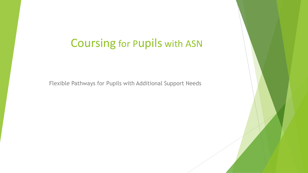# Coursing for Pupils with ASN

Flexible Pathways for Pupils with Additional Support Needs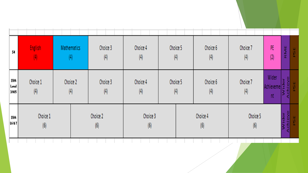| 54                        | <b>English</b><br>(4)              | Mathematics<br>$\left(4\right)$ | Choice 3<br>(4) | Choice 4<br>(4)         | Choice 5<br>(4) | Choice 6<br>(4) | Choice 7<br>(4) | PE<br>(2)                | RME | R |
|---------------------------|------------------------------------|---------------------------------|-----------------|-------------------------|-----------------|-----------------|-----------------|--------------------------|-----|---|
| 5514<br>Loval<br>31415    | Choice 1<br>Choice 2<br>(4)<br>(4) |                                 | Choice 3<br>(4) | Choice 4<br>(4)         | Choice 5<br>(4) | Choice 6<br>(4) | Choice 7<br>(4) | Wider<br>Achieveme<br>nt | Ē   |   |
| 5514<br><b>LG &amp; 7</b> | Choice 1<br>(6)                    |                                 | Choice 2<br>(6) | Choice 3<br>$ 6\rangle$ |                 | Choice 4<br>(6) | Choice 5<br>(6) |                          | ş   |   |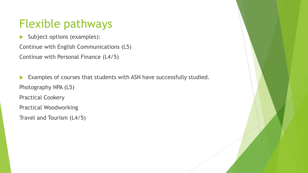# Flexible pathways

Subject options (examples):

Continue with English Communications (L5) Continue with Personal Finance (L4/5)

Examples of courses that students with ASN have successfully studied. Photography NPA (L5) Practical Cookery Practical Woodworking Travel and Tourism (L4/5)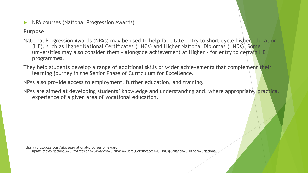NPA courses (National Progression Awards)

#### **Purpose**

- National Progression Awards (NPAs) may be used to help facilitate entry to short-cycle higher education (HE), such as Higher National Certificates (HNCs) and Higher National Diplomas (HNDs). Some universities may also consider them – alongside achievement at Higher – for entry to certain HE programmes.
- They help students develop a range of additional skills or wider achievements that complement their learning journey in the Senior Phase of Curriculum for Excellence.

NPAs also provide access to employment, further education, and training.

NPAs are aimed at developing students' knowledge and understanding and, where appropriate, practical experience of a given area of vocational education.

https://qips.ucas.com/qip/sqa-national-progression-award-

npa#:~:text=National%20Progression%20Awards%20(NPAs)%20are,Certificates%20(HNCs)%20and%20Higher%20National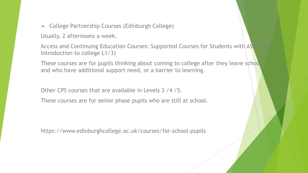College Partnership Courses (Edinburgh College)

Usually, 2 afternoons a week.

Access and Continuing Education Courses: Supported Courses for Students with AS Introduction to college L1/3)

These courses are for pupils thinking about coming to college after they leave school and who have additional support need, or a barrier to learning.

Other CPS courses that are available in Levels 3 /4 /5.

These courses are for senior phase pupils who are still at school.

https://www.edinburghcollege.ac.uk/courses/for-school-pupils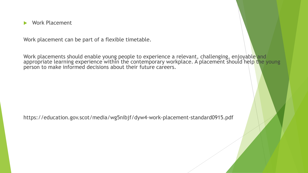Work Placement

Work placement can be part of a flexible timetable.

Work placements should enable young people to experience a relevant, challenging, enjoyable and appropriate learning experience within the contemporary workplace. A placement should help the young person to make informed decisions about their future careers.

https://education.gov.scot/media/wg5nibjf/dyw4-work-placement-standard0915.pdf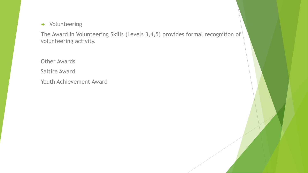#### Volunteering

The Award in Volunteering Skills (Levels 3,4,5) provides formal recognition of volunteering activity.

Other Awards Saltire Award Youth Achievement Award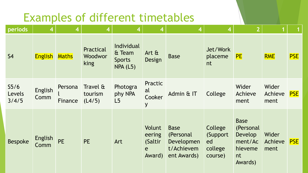# Examples of different timetables

| periods                             | 4                      | 4                  | 4                             | 4                                                 | 4                                           | 4                                                                   | $\boldsymbol{4}$                                 | $\overline{\mathbf{2}}$                                                           |                          |            |
|-------------------------------------|------------------------|--------------------|-------------------------------|---------------------------------------------------|---------------------------------------------|---------------------------------------------------------------------|--------------------------------------------------|-----------------------------------------------------------------------------------|--------------------------|------------|
| <b>S4</b>                           | <b>English</b>         | <b>Maths</b>       | Practical<br>Woodwor<br>king  | Individual<br>& Team<br><b>Sports</b><br>NPA (L5) | Art $\alpha$<br>Design                      | <b>Base</b>                                                         | Jet/Work<br>placeme<br>nt                        | <b>PE</b>                                                                         | <b>RME</b>               | <b>PSE</b> |
| S <sub>5/6</sub><br>Levels<br>3/4/5 | <b>English</b><br>Comm | Persona<br>Finance | Travel &<br>tourism<br>(L4/5) | Photogra<br>phy NPA<br>L5                         | Practic<br>al<br>Cooker<br>y                | Admin & IT                                                          | College                                          | Wider<br>Achieve<br>ment                                                          | Wider<br>Achieve<br>ment | <b>PSE</b> |
| <b>Bespoke</b>                      | English<br>Comm        | <b>PE</b>          | <b>PE</b>                     | Art                                               | Volunt<br>eering<br>(Saltir)<br>e<br>Award) | <b>Base</b><br>(Personal<br>Developmen<br>t/Achievem<br>ent Awards) | College<br>(Support)<br>ed<br>college<br>course) | <b>Base</b><br>(Personal<br><b>Develop</b><br>ment/Ac<br>hieveme<br>nt<br>Awards) | Wider<br>Achieve<br>ment | <b>PSE</b> |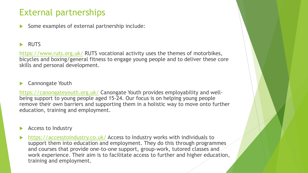## External partnerships

Some examples of external partnership include:

### **RUTS**

<https://www.ruts.org.uk/> RUTS vocational activity uses the themes of motorbikes, bicycles and boxing/general fitness to engage young people and to deliver these core skills and personal development.

#### Cannongate Youth

<https://canongateyouth.org.uk/> Canongate Youth provides employability and wellbeing support to young people aged 15-24. Our focus is on helping young people remove their own barriers and supporting them in a holistic way to move onto further education, training and employment.

Access to Industry

 <https://accesstoindustry.co.uk/> Access to Industry works with individuals to support them into education and employment. They do this through programmes and courses that provide one-to-one support, group-work, tutored classes and work experience. Their aim is to facilitate access to further and higher education, training and employment.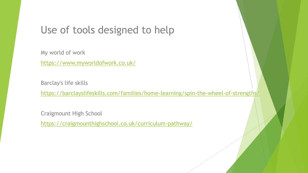## Use of tools designed to help

My world of work <https://www.myworldofwork.co.uk/>

Barclay's life skills

<https://barclayslifeskills.com/families/home-learning/spin-the-wheel-of-strengths/>

Craigmount High School

<https://craigmounthighschool.co.uk/curriculum-pathway/>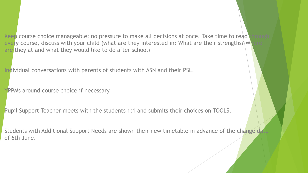Keep course choice manageable: no pressure to make all decisions at once. Take time to read every course, discuss with your child (what are they interested in? What are their strengths?) Where are they at and what they would like to do after school)

Individual conversations with parents of students with ASN and their PSL.

YPPMs around course choice if necessary.

Pupil Support Teacher meets with the students 1:1 and submits their choices on TOOLS.

Students with Additional Support Needs are shown their new timetable in advance of the change date of 6th June.